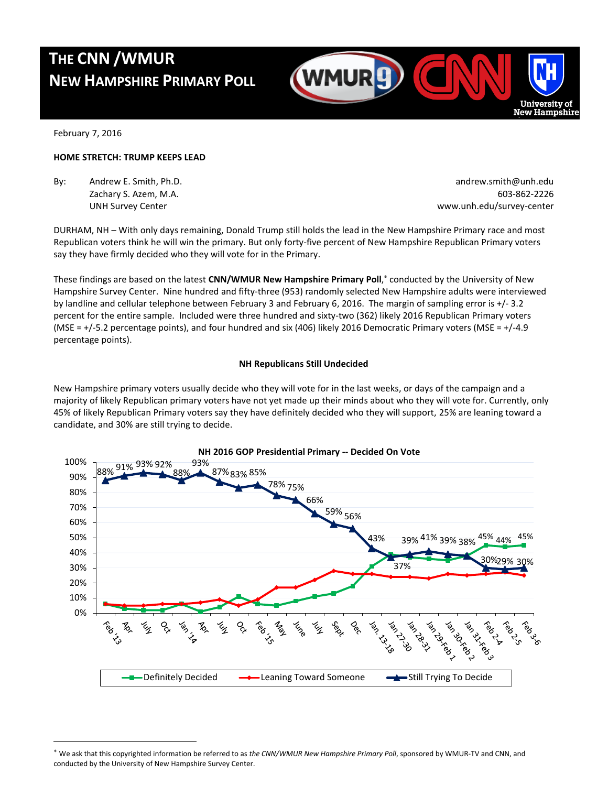# **THE CNN /WMUR NEW HAMPSHIRE PRIMARY POLL**



February 7, 2016

 $\overline{a}$ 

# **HOME STRETCH: TRUMP KEEPS LEAD**

By: Andrew E. Smith, Ph.D. **Andrew E. Smith, Ph.D.** andrew.smith@unh.edu

Zachary S. Azem, M.A. 603-862-2226 UNH Survey Center www.unh.edu/survey-center

DURHAM, NH – With only days remaining, Donald Trump still holds the lead in the New Hampshire Primary race and most Republican voters think he will win the primary. But only forty-five percent of New Hampshire Republican Primary voters say they have firmly decided who they will vote for in the Primary.

These findings are based on the latest **CNN/WMUR New Hampshire Primary Poll**, conducted by the University of New Hampshire Survey Center. Nine hundred and fifty-three (953) randomly selected New Hampshire adults were interviewed by landline and cellular telephone between February 3 and February 6, 2016. The margin of sampling error is +/- 3.2 percent for the entire sample. Included were three hundred and sixty-two (362) likely 2016 Republican Primary voters (MSE = +/-5.2 percentage points), and four hundred and six (406) likely 2016 Democratic Primary voters (MSE = +/-4.9 percentage points).

# **NH Republicans Still Undecided**

New Hampshire primary voters usually decide who they will vote for in the last weeks, or days of the campaign and a majority of likely Republican primary voters have not yet made up their minds about who they will vote for. Currently, only 45% of likely Republican Primary voters say they have definitely decided who they will support, 25% are leaning toward a candidate, and 30% are still trying to decide.



We ask that this copyrighted information be referred to as *the CNN/WMUR New Hampshire Primary Poll*, sponsored by WMUR-TV and CNN, and conducted by the University of New Hampshire Survey Center.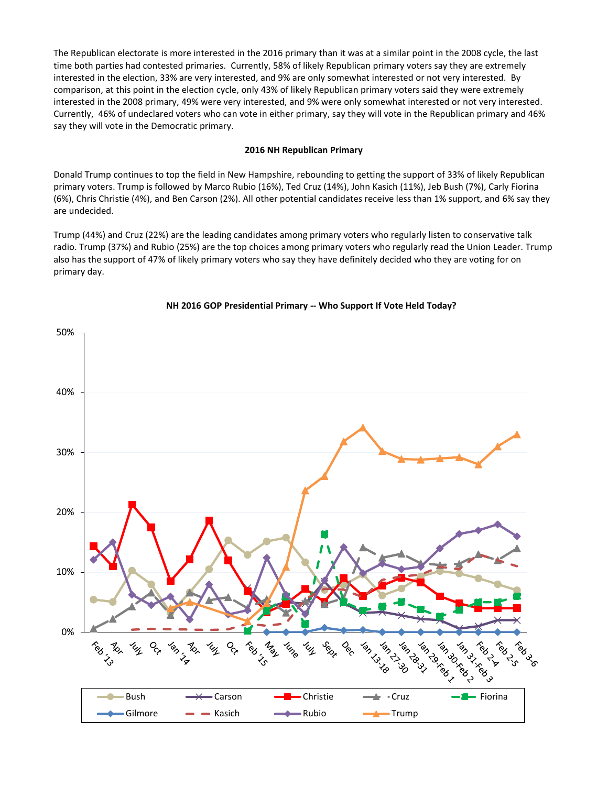The Republican electorate is more interested in the 2016 primary than it was at a similar point in the 2008 cycle, the last time both parties had contested primaries. Currently, 58% of likely Republican primary voters say they are extremely interested in the election, 33% are very interested, and 9% are only somewhat interested or not very interested. By comparison, at this point in the election cycle, only 43% of likely Republican primary voters said they were extremely interested in the 2008 primary, 49% were very interested, and 9% were only somewhat interested or not very interested. Currently, 46% of undeclared voters who can vote in either primary, say they will vote in the Republican primary and 46% say they will vote in the Democratic primary.

# **2016 NH Republican Primary**

Donald Trump continues to top the field in New Hampshire, rebounding to getting the support of 33% of likely Republican primary voters. Trump is followed by Marco Rubio (16%), Ted Cruz (14%), John Kasich (11%), Jeb Bush (7%), Carly Fiorina (6%), Chris Christie (4%), and Ben Carson (2%). All other potential candidates receive less than 1% support, and 6% say they are undecided.

Trump (44%) and Cruz (22%) are the leading candidates among primary voters who regularly listen to conservative talk radio. Trump (37%) and Rubio (25%) are the top choices among primary voters who regularly read the Union Leader. Trump also has the support of 47% of likely primary voters who say they have definitely decided who they are voting for on primary day.



# **NH 2016 GOP Presidential Primary -- Who Support If Vote Held Today?**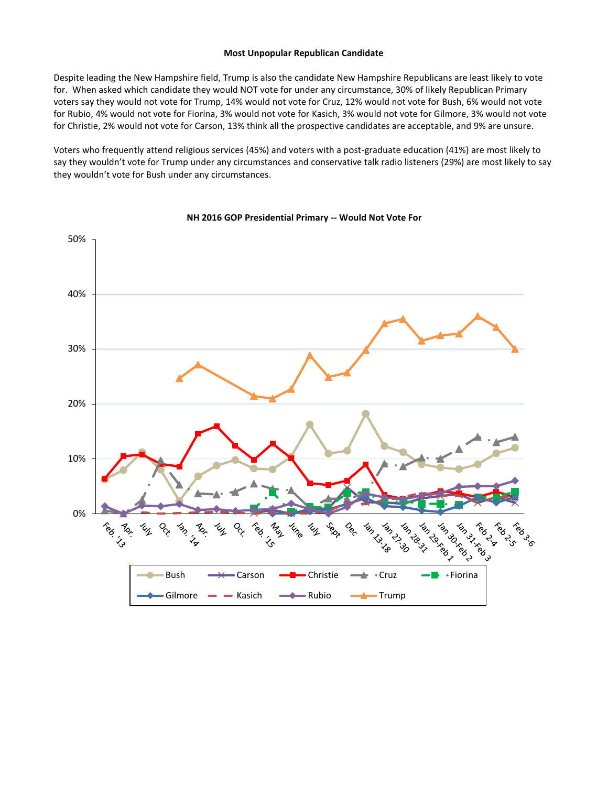#### **Most Unpopular Republican Candidate**

Despite leading the New Hampshire field, Trump is also the candidate New Hampshire Republicans are least likely to vote for. When asked which candidate they would NOT vote for under any circumstance, 30% of likely Republican Primary voters say they would not vote for Trump, 14% would not vote for Cruz, 12% would not vote for Bush, 6% would not vote for Rubio, 4% would not vote for Fiorina, 3% would not vote for Kasich, 3% would not vote for Gilmore, 3% would not vote for Christie, 2% would not vote for Carson, 13% think all the prospective candidates are acceptable, and 9% are unsure.

Voters who frequently attend religious services (45%) and voters with a post-graduate education (41%) are most likely to say they wouldn't vote for Trump under any circumstances and conservative talk radio listeners (29%) are most likely to say they wouldn't vote for Bush under any circumstances.



#### **NH 2016 GOP Presidential Primary -- Would Not Vote For**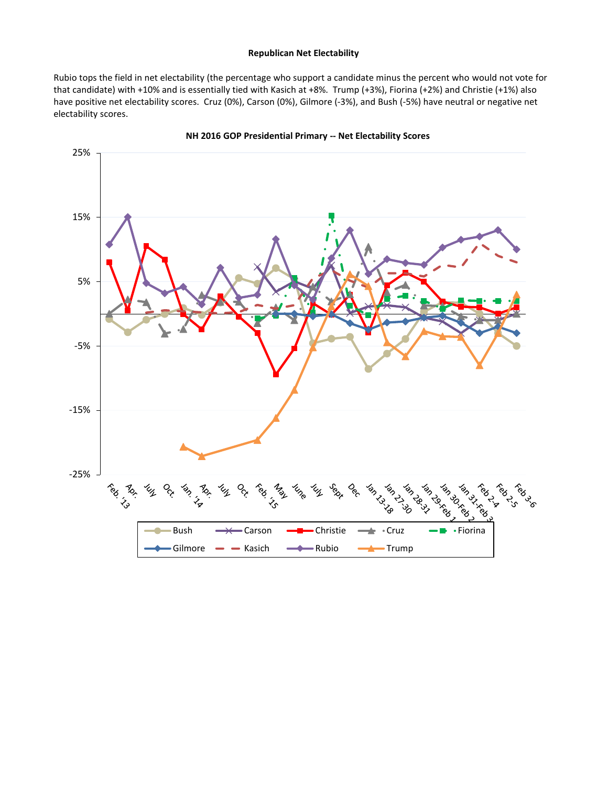# **Republican Net Electability**

Rubio tops the field in net electability (the percentage who support a candidate minus the percent who would not vote for that candidate) with +10% and is essentially tied with Kasich at +8%. Trump (+3%), Fiorina (+2%) and Christie (+1%) also have positive net electability scores. Cruz (0%), Carson (0%), Gilmore (-3%), and Bush (-5%) have neutral or negative net electability scores.



**NH 2016 GOP Presidential Primary -- Net Electability Scores**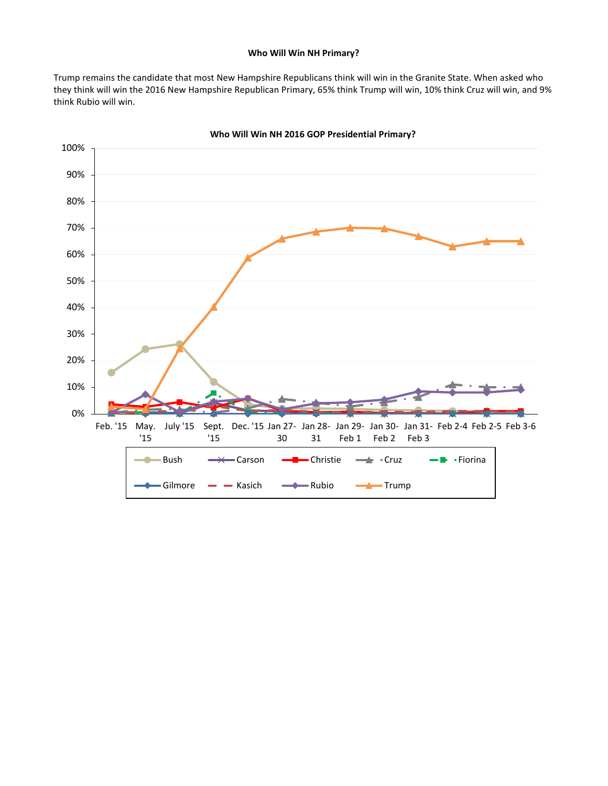### **Who Will Win NH Primary?**

Trump remains the candidate that most New Hampshire Republicans think will win in the Granite State. When asked who they think will win the 2016 New Hampshire Republican Primary, 65% think Trump will win, 10% think Cruz will win, and 9% think Rubio will win.



**Who Will Win NH 2016 GOP Presidential Primary?**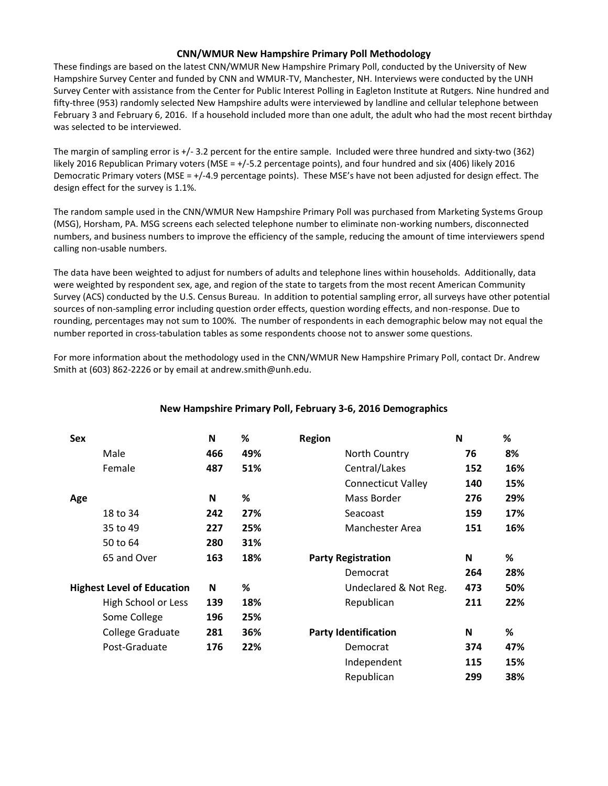# **CNN/WMUR New Hampshire Primary Poll Methodology**

These findings are based on the latest CNN/WMUR New Hampshire Primary Poll, conducted by the University of New Hampshire Survey Center and funded by CNN and WMUR-TV, Manchester, NH. Interviews were conducted by the UNH Survey Center with assistance from the Center for Public Interest Polling in Eagleton Institute at Rutgers. Nine hundred and fifty-three (953) randomly selected New Hampshire adults were interviewed by landline and cellular telephone between February 3 and February 6, 2016. If a household included more than one adult, the adult who had the most recent birthday was selected to be interviewed.

The margin of sampling error is +/- 3.2 percent for the entire sample. Included were three hundred and sixty-two (362) likely 2016 Republican Primary voters (MSE = +/-5.2 percentage points), and four hundred and six (406) likely 2016 Democratic Primary voters (MSE = +/-4.9 percentage points). These MSE's have not been adjusted for design effect. The design effect for the survey is 1.1%.

The random sample used in the CNN/WMUR New Hampshire Primary Poll was purchased from Marketing Systems Group (MSG), Horsham, PA. MSG screens each selected telephone number to eliminate non-working numbers, disconnected numbers, and business numbers to improve the efficiency of the sample, reducing the amount of time interviewers spend calling non-usable numbers.

The data have been weighted to adjust for numbers of adults and telephone lines within households. Additionally, data were weighted by respondent sex, age, and region of the state to targets from the most recent American Community Survey (ACS) conducted by the U.S. Census Bureau. In addition to potential sampling error, all surveys have other potential sources of non-sampling error including question order effects, question wording effects, and non-response. Due to rounding, percentages may not sum to 100%. The number of respondents in each demographic below may not equal the number reported in cross-tabulation tables as some respondents choose not to answer some questions.

For more information about the methodology used in the CNN/WMUR New Hampshire Primary Poll, contact Dr. Andrew Smith at (603) 862-2226 or by email at andrew.smith@unh.edu.

| <b>Sex</b> |                                   | N   | ℅   | <b>Region</b>               | N   | %   |
|------------|-----------------------------------|-----|-----|-----------------------------|-----|-----|
|            | Male                              | 466 | 49% | North Country               | 76  | 8%  |
|            | Female                            | 487 | 51% | Central/Lakes               | 152 | 16% |
|            |                                   |     |     | <b>Connecticut Valley</b>   | 140 | 15% |
| Age        |                                   | N   | %   | Mass Border                 | 276 | 29% |
|            | 18 to 34                          | 242 | 27% | Seacoast                    | 159 | 17% |
|            | 35 to 49                          | 227 | 25% | <b>Manchester Area</b>      | 151 | 16% |
|            | 50 to 64                          | 280 | 31% |                             |     |     |
|            | 65 and Over                       | 163 | 18% | <b>Party Registration</b>   | N   | %   |
|            |                                   |     |     | Democrat                    | 264 | 28% |
|            | <b>Highest Level of Education</b> | N   | ℅   | Undeclared & Not Reg.       | 473 | 50% |
|            | High School or Less               | 139 | 18% | Republican                  | 211 | 22% |
|            | Some College                      | 196 | 25% |                             |     |     |
|            | College Graduate                  | 281 | 36% | <b>Party Identification</b> | N   | %   |
|            | Post-Graduate                     | 176 | 22% | Democrat                    | 374 | 47% |
|            |                                   |     |     | Independent                 | 115 | 15% |
|            |                                   |     |     | Republican                  | 299 | 38% |

# **New Hampshire Primary Poll, February 3-6, 2016 Demographics**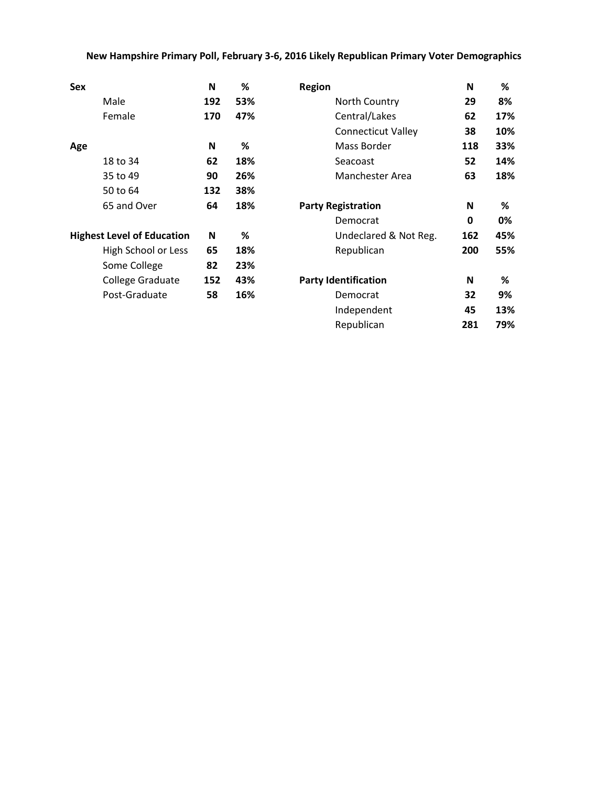# **New Hampshire Primary Poll, February 3-6, 2016 Likely Republican Primary Voter Demographics**

| Sex                               | N   | %   | <b>Region</b>               | N   | %   |
|-----------------------------------|-----|-----|-----------------------------|-----|-----|
| Male                              | 192 | 53% | North Country               | 29  | 8%  |
| Female                            | 170 | 47% | Central/Lakes               | 62  | 17% |
|                                   |     |     | <b>Connecticut Valley</b>   | 38  | 10% |
| Age                               | N   | %   | Mass Border                 | 118 | 33% |
| 18 to 34                          | 62  | 18% | Seacoast                    | 52  | 14% |
| 35 to 49                          | 90  | 26% | Manchester Area             | 63  | 18% |
| 50 to 64                          | 132 | 38% |                             |     |     |
| 65 and Over                       | 64  | 18% | <b>Party Registration</b>   | N   | %   |
|                                   |     |     | Democrat                    | 0   | 0%  |
| <b>Highest Level of Education</b> | N   | %   | Undeclared & Not Reg.       | 162 | 45% |
| High School or Less               | 65  | 18% | Republican                  | 200 | 55% |
| Some College                      | 82  | 23% |                             |     |     |
| College Graduate                  | 152 | 43% | <b>Party Identification</b> | N   | %   |
| Post-Graduate                     | 58  | 16% | Democrat                    | 32  | 9%  |
|                                   |     |     | Independent                 | 45  | 13% |
|                                   |     |     | Republican                  | 281 | 79% |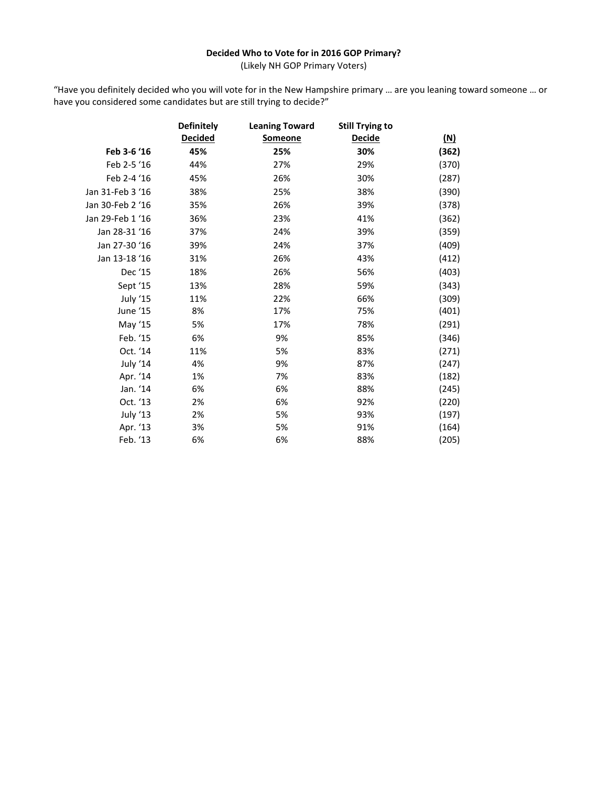# **Decided Who to Vote for in 2016 GOP Primary?**

(Likely NH GOP Primary Voters)

"Have you definitely decided who you will vote for in the New Hampshire primary … are you leaning toward someone … or have you considered some candidates but are still trying to decide?"

|                  | <b>Definitely</b> | <b>Leaning Toward</b> | <b>Still Trying to</b> |            |
|------------------|-------------------|-----------------------|------------------------|------------|
|                  | <b>Decided</b>    | <b>Someone</b>        | Decide                 | <u>(N)</u> |
| Feb 3-6 '16      | 45%               | 25%                   | 30%                    | (362)      |
| Feb 2-5 '16      | 44%               | 27%                   | 29%                    | (370)      |
| Feb 2-4 '16      | 45%               | 26%                   | 30%                    | (287)      |
| Jan 31-Feb 3 '16 | 38%               | 25%                   | 38%                    | (390)      |
| Jan 30-Feb 2 '16 | 35%               | 26%                   | 39%                    | (378)      |
| Jan 29-Feb 1 '16 | 36%               | 23%                   | 41%                    | (362)      |
| Jan 28-31 '16    | 37%               | 24%                   | 39%                    | (359)      |
| Jan 27-30 '16    | 39%               | 24%                   | 37%                    | (409)      |
| Jan 13-18 '16    | 31%               | 26%                   | 43%                    | (412)      |
| Dec '15          | 18%               | 26%                   | 56%                    | (403)      |
| Sept '15         | 13%               | 28%                   | 59%                    | (343)      |
| July '15         | 11%               | 22%                   | 66%                    | (309)      |
| June '15         | 8%                | 17%                   | 75%                    | (401)      |
| May '15          | 5%                | 17%                   | 78%                    | (291)      |
| Feb. '15         | 6%                | 9%                    | 85%                    | (346)      |
| Oct. '14         | 11%               | 5%                    | 83%                    | (271)      |
| July '14         | 4%                | 9%                    | 87%                    | (247)      |
| Apr. '14         | 1%                | 7%                    | 83%                    | (182)      |
| Jan. '14         | 6%                | 6%                    | 88%                    | (245)      |
| Oct. '13         | 2%                | 6%                    | 92%                    | (220)      |
| July '13         | 2%                | 5%                    | 93%                    | (197)      |
| Apr. '13         | 3%                | 5%                    | 91%                    | (164)      |
| Feb. '13         | 6%                | 6%                    | 88%                    | (205)      |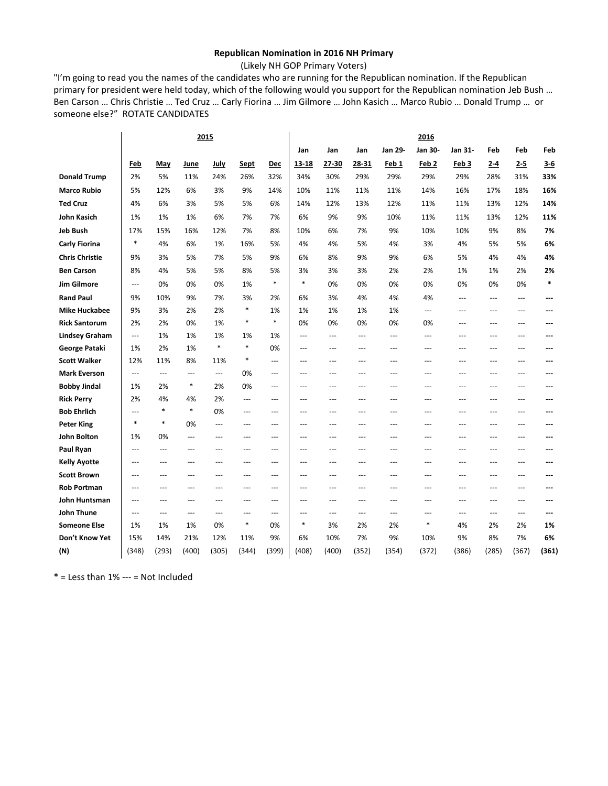# **Republican Nomination in 2016 NH Primary**

(Likely NH GOP Primary Voters)

"I'm going to read you the names of the candidates who are running for the Republican nomination. If the Republican primary for president were held today, which of the following would you support for the Republican nomination Jeb Bush … Ben Carson … Chris Christie … Ted Cruz … Carly Fiorina … Jim Gilmore … John Kasich … Marco Rubio … Donald Trump … or someone else?" ROTATE CANDIDATES

|                       |                |                |                | 2015           |        |                          | 2016           |       |       |                |                  |         |       |                |        |
|-----------------------|----------------|----------------|----------------|----------------|--------|--------------------------|----------------|-------|-------|----------------|------------------|---------|-------|----------------|--------|
|                       |                |                |                |                |        |                          | Jan            | Jan   | Jan   | Jan 29-        | Jan 30-          | Jan 31- | Feb   | Feb            | Feb    |
|                       | Feb            | May            | June           | July           | Sept   | Dec                      | 13 18          | 27-30 | 28-31 | Feb 1          | Feb <sub>2</sub> | Feb 3   | $2-4$ | 2-5            | $3-6$  |
| <b>Donald Trump</b>   | 2%             | 5%             | 11%            | 24%            | 26%    | 32%                      | 34%            | 30%   | 29%   | 29%            | 29%              | 29%     | 28%   | 31%            | 33%    |
| <b>Marco Rubio</b>    | 5%             | 12%            | 6%             | 3%             | 9%     | 14%                      | 10%            | 11%   | 11%   | 11%            | 14%              | 16%     | 17%   | 18%            | 16%    |
| <b>Ted Cruz</b>       | 4%             | 6%             | 3%             | 5%             | 5%     | 6%                       | 14%            | 12%   | 13%   | 12%            | 11%              | 11%     | 13%   | 12%            | 14%    |
| John Kasich           | 1%             | 1%             | 1%             | 6%             | 7%     | 7%                       | 6%             | 9%    | 9%    | 10%            | 11%              | 11%     | 13%   | 12%            | 11%    |
| <b>Jeb Bush</b>       | 17%            | 15%            | 16%            | 12%            | 7%     | 8%                       | 10%            | 6%    | 7%    | 9%             | 10%              | 10%     | 9%    | 8%             | 7%     |
| <b>Carly Fiorina</b>  | $\ast$         | 4%             | 6%             | 1%             | 16%    | 5%                       | 4%             | 4%    | 5%    | 4%             | 3%               | 4%      | 5%    | 5%             | 6%     |
| <b>Chris Christie</b> | 9%             | 3%             | 5%             | 7%             | 5%     | 9%                       | 6%             | 8%    | 9%    | 9%             | 6%               | 5%      | 4%    | 4%             | 4%     |
| <b>Ben Carson</b>     | 8%             | 4%             | 5%             | 5%             | 8%     | 5%                       | 3%             | 3%    | 3%    | 2%             | 2%               | 1%      | 1%    | 2%             | 2%     |
| <b>Jim Gilmore</b>    | $\overline{a}$ | 0%             | 0%             | 0%             | 1%     | $\ast$                   | $\ast$         | 0%    | 0%    | 0%             | 0%               | 0%      | 0%    | 0%             | $\ast$ |
| <b>Rand Paul</b>      | 9%             | 10%            | 9%             | 7%             | 3%     | 2%                       | 6%             | 3%    | 4%    | 4%             | 4%               | $---$   | ---   | $---$          | ---    |
| <b>Mike Huckabee</b>  | 9%             | 3%             | 2%             | 2%             | $\ast$ | 1%                       | 1%             | 1%    | 1%    | 1%             | $\overline{a}$   | ---     | ---   | $\overline{a}$ |        |
| <b>Rick Santorum</b>  | 2%             | 2%             | 0%             | 1%             | $\ast$ | $\ast$                   | 0%             | 0%    | 0%    | 0%             | 0%               | ---     | ---   | ---            | ---    |
| <b>Lindsey Graham</b> | $\overline{a}$ | 1%             | 1%             | 1%             | 1%     | 1%                       | $\overline{a}$ | ---   | $---$ | $\overline{a}$ | $\overline{a}$   | $---$   | ---   | $---$          | ---    |
| George Pataki         | 1%             | 2%             | 1%             | *              | $\ast$ | 0%                       | $---$          | ---   | $---$ | $---$          | $---$            | $---$   | $---$ | $---$          | ---    |
| <b>Scott Walker</b>   | 12%            | 11%            | 8%             | 11%            | $\ast$ | $\overline{a}$           | $---$          | ---   | $---$ | $---$          | $---$            | $---$   | $---$ | $\overline{a}$ | ---    |
| <b>Mark Everson</b>   | $\overline{a}$ | $\overline{a}$ | $---$          | $\overline{a}$ | 0%     | $---$                    | $---$          | ---   | $---$ | $---$          | $---$            | ---     | $---$ | $---$          | ---    |
| <b>Bobby Jindal</b>   | 1%             | 2%             | $\ast$         | 2%             | 0%     | $\overline{a}$           | $---$          | ---   | $---$ | $---$          | $---$            | $---$   | $---$ | $-$            | ---    |
| <b>Rick Perry</b>     | 2%             | 4%             | 4%             | 2%             | $---$  | $\qquad \qquad -$        | ---            | ---   | ---   | $---$          | ---              | ---     | ---   | $---$          | ---    |
| <b>Bob Ehrlich</b>    | $\overline{a}$ | $\ast$         | $\ast$         | 0%             | ---    | $\overline{a}$           | $-$            | ---   | $-$   | $\overline{a}$ | $\overline{a}$   | $---$   | ---   | $-$            | ---    |
| <b>Peter King</b>     | $\ast$         | $\ast$         | 0%             | ---            | ---    | $---$                    | $\overline{a}$ | ---   | ---   | $---$          | $\overline{a}$   | $---$   | ---   | $\overline{a}$ |        |
| <b>John Bolton</b>    | 1%             | 0%             | $\overline{a}$ | ---            | ---    | $\overline{a}$           | $---$          | ---   | ---   | $---$          | ---              | $---$   | ---   | $-$            |        |
| Paul Ryan             | $---$          | ---            | ---            | ---            | ---    | $\overline{a}$           | ---            | ---   | ---   | ---            | $---$            | ---     | ---   | $---$          | ---    |
| <b>Kelly Ayotte</b>   | ---            | ---            | ---            | $\overline{a}$ | ---    | $---$                    | ---            | ---   | $-$   | $\overline{a}$ | $\overline{a}$   | $---$   | ---   | $\overline{a}$ | ---    |
| <b>Scott Brown</b>    | ---            | ---            | ---            | ---            | ---    | ---                      | ---            | ---   |       | ---            | ---              | ---     | ---   | $---$          | ---    |
| <b>Rob Portman</b>    | ---            | $---$          | ---            | $---$          | $---$  | $\hspace{0.05cm} \ldots$ | ---            | ---   | ---   | $---$          | $---$            | $---$   | ---   | $\cdots$       | ---    |
| John Huntsman         | $---$          | ---            | $---$          | $---$          | $---$  | $---$                    | $---$          | ---   | $---$ | $---$          | $---$            | $---$   | $---$ | $---$          | ---    |
| John Thune            | $---$          | $---$          | $---$          | $---$          | $---$  | $---$                    | $---$          | $---$ | $---$ | $---$          | $---$            | $---$   | $---$ | $\overline{a}$ | ---    |
| <b>Someone Else</b>   | 1%             | 1%             | 1%             | 0%             | $\ast$ | 0%                       | $\ast$         | 3%    | 2%    | 2%             | *                | 4%      | 2%    | 2%             | 1%     |
| Don't Know Yet        | 15%            | 14%            | 21%            | 12%            | 11%    | 9%                       | 6%             | 10%   | 7%    | 9%             | 10%              | 9%      | 8%    | 7%             | 6%     |
| (N)                   | (348)          | (293)          | (400)          | (305)          | (344)  | (399)                    | (408)          | (400) | (352) | (354)          | (372)            | (386)   | (285) | (367)          | (361)  |

 $*$  = Less than 1% --- = Not Included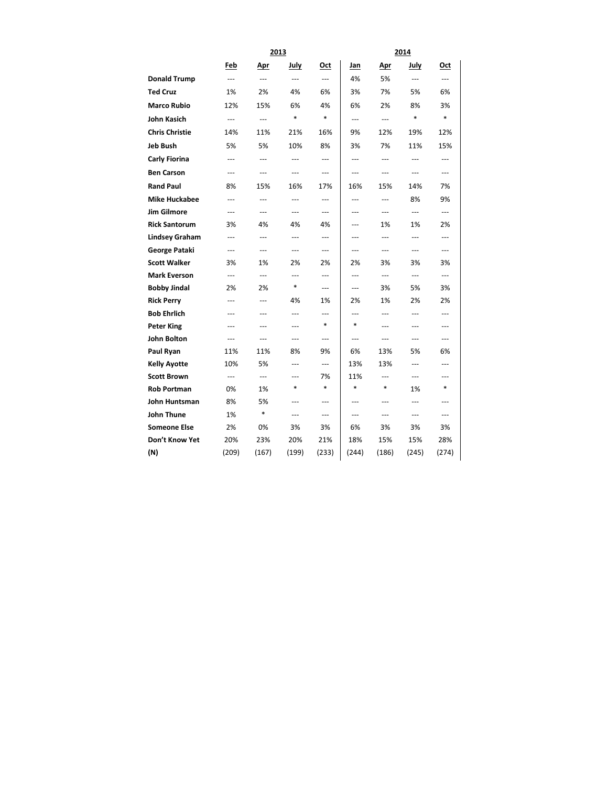|                       |                | 2013           |        |        | 2014           |                |                        |                          |  |  |
|-----------------------|----------------|----------------|--------|--------|----------------|----------------|------------------------|--------------------------|--|--|
|                       | Feb            | Apr            | July   | Oct    | Jan            | Apr            | July                   | Oct                      |  |  |
| <b>Donald Trump</b>   | ---            | ---            | ---    | ---    | 4%             | 5%             | $\overline{a}$         | ---                      |  |  |
| <b>Ted Cruz</b>       | 1%             | 2%             | 4%     | 6%     | 3%             | 7%             | 5%                     | 6%                       |  |  |
| <b>Marco Rubio</b>    | 12%            | 15%            | 6%     | 4%     | 6%             | 2%             | 8%                     | 3%                       |  |  |
| <b>John Kasich</b>    | ---            | $---$          | $\ast$ | $\ast$ | ---            | ---            | $\ast$                 | $\ast$                   |  |  |
| <b>Chris Christie</b> | 14%            | 11%            | 21%    | 16%    | 9%             | 12%            | 19%                    | 12%                      |  |  |
| <b>Jeb Bush</b>       | 5%             | 5%             | 10%    | 8%     | 3%             | 7%             | 11%                    | 15%                      |  |  |
| <b>Carly Fiorina</b>  | ---            | ---            | ---    | ---    | ---            | ---            | ---                    | ---                      |  |  |
| <b>Ben Carson</b>     | ---            | ---            | ---    | ---    | ---            | ---            | $---$                  | ---                      |  |  |
| <b>Rand Paul</b>      | 8%             | 15%            | 16%    | 17%    | 16%            | 15%            | 14%                    | 7%                       |  |  |
| <b>Mike Huckabee</b>  | ---            | ---            | ---    | ---    | ---            | ---            | 8%                     | 9%                       |  |  |
| Jim Gilmore           | ---            | $---$          | ---    | ---    | ---            | ---            | ---                    | ---                      |  |  |
| <b>Rick Santorum</b>  | 3%             | 4%             | 4%     | 4%     | ---            | 1%             | 1%                     | 2%                       |  |  |
| <b>Lindsey Graham</b> | ---            | $---$          | $---$  | ---    | $---$          | ---            | $\overline{a}$         | ---                      |  |  |
| George Pataki         | $-$            | $---$          | $---$  | $---$  | $\overline{a}$ | ---            | $\overline{a}$         | ---                      |  |  |
| <b>Scott Walker</b>   | 3%             | 1%             | 2%     | 2%     | 2%             | 3%             | 3%                     | 3%                       |  |  |
| <b>Mark Everson</b>   | ---            | $---$          | ---    | ---    | ---            | $---$          | $\qquad \qquad \cdots$ | $\hspace{0.05cm} \ldots$ |  |  |
| <b>Bobby Jindal</b>   | 2%             | 2%             | *      | ---    | ---            | 3%             | 5%                     | 3%                       |  |  |
| <b>Rick Perry</b>     | $\overline{a}$ | $---$          | 4%     | 1%     | 2%             | 1%             | 2%                     | 2%                       |  |  |
| <b>Bob Ehrlich</b>    | ---            | $---$          | $---$  | $---$  | $---$          | $\overline{a}$ | $\overline{a}$         | $---$                    |  |  |
| <b>Peter King</b>     | $---$          | $---$          | $---$  | *      | *              | $\overline{a}$ | ---                    | $\overline{a}$           |  |  |
| John Bolton           | ---            | $---$          | ---    | ---    | ---            | ---            | $---$                  | ---                      |  |  |
| Paul Ryan             | 11%            | 11%            | 8%     | 9%     | 6%             | 13%            | 5%                     | 6%                       |  |  |
| <b>Kelly Ayotte</b>   | 10%            | 5%             | $---$  | $---$  | 13%            | 13%            | $\overline{a}$         | ---                      |  |  |
| <b>Scott Brown</b>    | $-$            | $\overline{a}$ | $---$  | 7%     | 11%            | $---$          | $\overline{a}$         | ---                      |  |  |
| <b>Rob Portman</b>    | 0%             | 1%             | *      | $\ast$ | $\ast$         | *              | 1%                     | *                        |  |  |
| John Huntsman         | 8%             | 5%<br>$\ast$   | ---    | ---    | ---            | ---            | ---                    | ---                      |  |  |
| <b>John Thune</b>     | 1%             |                | ---    | ---    | ---            | ---            | ---                    | ---                      |  |  |
| <b>Someone Else</b>   | 2%             | 0%             | 3%     | 3%     | 6%             | 3%             | 3%                     | 3%                       |  |  |
| Don't Know Yet        | 20%            | 23%            | 20%    | 21%    | 18%            | 15%            | 15%                    | 28%                      |  |  |
| (N)                   | (209)          | (167)          | (199)  | (233)  | (244)          | (186)          | (245)                  | (274)                    |  |  |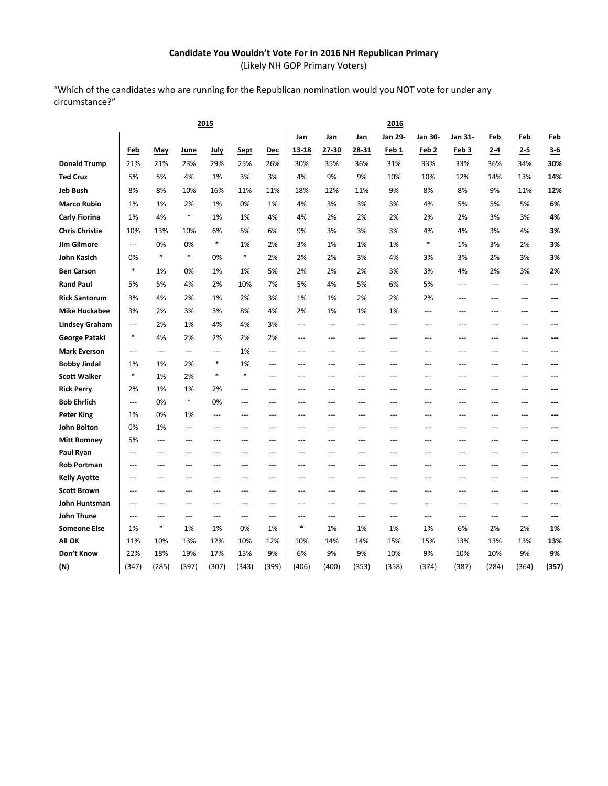# **Candidate You Wouldn't Vote For In 2016 NH Republican Primary**

(Likely NH GOP Primary Voters)

"Which of the candidates who are running for the Republican nomination would you NOT vote for under any circumstance?"

|                       |                          |               |            | 2015           |                |                          | 2016           |                |                |            |                  |                |                |                |           |
|-----------------------|--------------------------|---------------|------------|----------------|----------------|--------------------------|----------------|----------------|----------------|------------|------------------|----------------|----------------|----------------|-----------|
|                       |                          |               |            |                |                |                          | Jan            | Jan            | Jan            | Jan 29-    | Jan 30-          | Jan 31-        | Feb            | Feb            | Feb       |
|                       | Feb                      | May           | June       | <u>July</u>    | <b>Sept</b>    | Dec                      | 13-18          | 27-30          | 28-31          | Feb 1      | Feb <sub>2</sub> | Feb 3          | $2-4$          | $2 - 5$        | $3 - 6$   |
| <b>Donald Trump</b>   | 21%                      | 21%           | 23%        | 29%            | 25%            | 26%                      | 30%            | 35%            | 36%            | 31%        | 33%              | 33%            | 36%            | 34%            | 30%       |
| <b>Ted Cruz</b>       | 5%                       | 5%            | 4%         | 1%             | 3%             | 3%                       | 4%             | 9%             | 9%             | 10%        | 10%              | 12%            | 14%            | 13%            | 14%       |
| Jeb Bush              | 8%                       | 8%            | 10%        | 16%            | 11%            | 11%                      | 18%            | 12%            | 11%            | 9%         | 8%               | 8%             | 9%             | 11%            | 12%       |
| <b>Marco Rubio</b>    | 1%                       | 1%            | 2%         | 1%             | 0%             | 1%                       | 4%             | 3%             | 3%             | 3%         | 4%               | 5%             | 5%             | 5%             | 6%        |
| Carly Fiorina         | 1%                       | 4%            | $\ast$     | 1%             | 1%             | 4%                       | 4%             | 2%             | 2%             | 2%         | 2%               | 2%             | 3%             | 3%             | 4%        |
| <b>Chris Christie</b> | 10%                      | 13%           | 10%        | 6%             | 5%             | 6%                       | 9%             | 3%             | 3%             | 3%         | 4%               | 4%             | 3%             | 4%             | 3%        |
| <b>Jim Gilmore</b>    | ---                      | 0%            | 0%         | $\ast$         | 1%             | 2%                       | 3%             | 1%             | 1%             | 1%         | $\ast$           | 1%             | 3%             | 2%             | 3%        |
| John Kasich           | 0%                       | $\ast$        | $\ast$     | 0%             | $\ast$         | 2%                       | 2%             | 2%             | 3%             | 4%         | 3%               | 3%             | 2%             | 3%             | 3%        |
| <b>Ben Carson</b>     | $\ast$                   | 1%            | 0%         | 1%             | 1%             | 5%                       | 2%             | 2%             | 2%             | 3%         | 3%               | 4%             | 2%             | 3%             | 2%        |
| <b>Rand Paul</b>      | 5%                       | 5%            | 4%         | 2%             | 10%            | 7%                       | 5%             | 4%             | 5%             | 6%         | 5%               | $---$          | $\overline{a}$ | $\overline{a}$ | ---       |
| <b>Rick Santorum</b>  | 3%                       | 4%            | 2%         | 1%             | 2%             | 3%                       | 1%             | 1%             | 2%             | 2%         | 2%               | ---            | ---            | $---$          | ---       |
| <b>Mike Huckabee</b>  | 3%                       | 2%            | 3%         | 3%             | 8%             | 4%                       | 2%             | 1%             | 1%             | 1%         | $\overline{a}$   | $---$          | ---            | $---$          | ---       |
| <b>Lindsey Graham</b> | $\overline{\phantom{a}}$ | 2%            | 1%         | 4%             | 4%             | 3%                       | $---$          | ---            | ---            | ---        | ---              | ---            | ---            | $\overline{a}$ | ---       |
| George Pataki         | $\ast$                   | 4%            | 2%         | 2%             | 2%             | 2%                       | $\overline{a}$ | $---$          | $-$            | ---        | $\overline{a}$   | $\overline{a}$ | $-$ --         | $-$            | ---       |
| <b>Mark Everson</b>   | $\overline{\phantom{a}}$ | ---           | ---        | $\overline{a}$ | 1%             | $\overline{a}$           | ---            | ---            | ---            | ---        | ---              | ---            | ---            | $\overline{a}$ | ---       |
| <b>Bobby Jindal</b>   | 1%                       | 1%            | 2%         | *              | 1%             | $---$                    | ---            | ---            | ---            | ---        | $---$            | ---            | ---            | $---$          | ---       |
| <b>Scott Walker</b>   | $\ast$                   | 1%            | 2%         | $\ast$         | $\ast$         | $---$                    | $---$          | $---$          | $---$          | ---        | $---$            | $---$          | $---$          | $---$          | ---       |
| <b>Rick Perry</b>     | 2%                       | 1%            | 1%         | 2%             | ---            | ---                      | ---            | ---            | ---            | ---        | ---              | ---            |                | ---            | ---       |
| <b>Bob Ehrlich</b>    | ---                      | 0%            | *          | 0%             | $---$          | $\overline{a}$           | ---            | $\overline{a}$ | $-$            | ---        | $\overline{a}$   | ---            | $\overline{a}$ | $\overline{a}$ | ---       |
| <b>Peter King</b>     | 1%                       | 0%            | 1%         | $---$          | ---            | $---$                    | $---$          | $---$          | $---$          | ---        | $---$            | $---$          | $---$          | $---$          | ---       |
| <b>John Bolton</b>    | 0%                       | 1%            | ---        | ---            | ---            | $\overline{a}$           | ---            |                | ---            | ---        | ---              |                |                | ---            | ---       |
| <b>Mitt Romney</b>    | 5%                       | ---           | ---        | ---            | $---$          | $\overline{a}$           | $---$          | $\overline{a}$ | ---            | ---        | $\overline{a}$   | $\overline{a}$ | $\overline{a}$ | ---            | ---       |
| Paul Ryan             | $\overline{a}$           | $---$         | $---$      | $---$          | ---            | $\overline{a}$           | $\cdots$       | ---            | $\overline{a}$ | ---        | $\overline{a}$   | $\overline{a}$ | ---            | $---$          | ---       |
| <b>Rob Portman</b>    | $---$                    | $---$         | $---$      | ---            | $\overline{a}$ | $\overline{a}$           | $\overline{a}$ | $\overline{a}$ | $---$          | ---        | $\overline{a}$   | $---$          | $\overline{a}$ | $---$          | ---       |
| <b>Kelly Ayotte</b>   | ---                      | $---$         | $---$      | ---            | $\overline{a}$ | $---$                    | ---            | $\overline{a}$ | $---$          | ---        | $\overline{a}$   | $\overline{a}$ | $\overline{a}$ | $---$          | ---       |
| <b>Scott Brown</b>    | $\overline{a}$           | ---           | $---$      | ---            | ---            | $---$                    | ---            | ---            | $---$          | ---        | $---$            | $---$          | ---            | $---$          | ---       |
| John Huntsman         | $---$                    | $---$         | $---$      | $---$          | ---            | $---$                    | $---$          | $---$          | $---$          | ---        | $---$            | $---$          | $---$          | $---$          | ---       |
| John Thune            | $---$                    | ---<br>$\ast$ | ---        | $\overline{a}$ | ---            | $\hspace{0.05cm} \ldots$ | ---<br>$\ast$  | ---            | $\overline{a}$ | ---        | ---              | ---            | ---            | $\cdots$       |           |
| <b>Someone Else</b>   | 1%                       |               | 1%         | 1%             | 0%             | 1%                       |                | 1%             | 1%             | 1%         | 1%               | 6%             | 2%             | 2%             | 1%        |
| All OK<br>Don't Know  | 11%<br>22%               | 10%<br>18%    | 13%<br>19% | 12%<br>17%     | 10%<br>15%     | 12%<br>9%                | 10%<br>6%      | 14%<br>9%      | 14%<br>9%      | 15%<br>10% | 15%<br>9%        | 13%<br>10%     | 13%<br>10%     | 13%<br>9%      | 13%<br>9% |
| (N)                   | (347)                    | (285)         | (397)      | (307)          | (343)          | (399)                    | (406)          | (400)          | (353)          | (358)      | (374)            | (387)          | (284)          | (364)          | (357)     |
|                       |                          |               |            |                |                |                          |                |                |                |            |                  |                |                |                |           |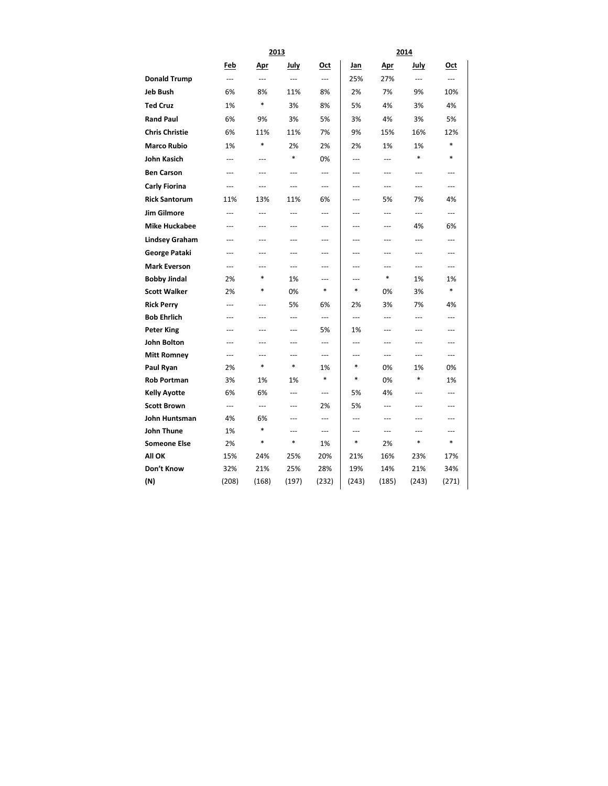|                       |                | 2013           |                |                | 2014           |                |                          |                |  |  |  |
|-----------------------|----------------|----------------|----------------|----------------|----------------|----------------|--------------------------|----------------|--|--|--|
|                       | Feb            | <u>Apr</u>     | July           | <u>Oct</u>     | <u>Jan</u>     | <u>Apr</u>     | July                     | Oct            |  |  |  |
| <b>Donald Trump</b>   | $\overline{a}$ | $\overline{a}$ | $\overline{a}$ | $\overline{a}$ | 25%            | 27%            | $\overline{a}$           | $---$          |  |  |  |
| <b>Jeb Bush</b>       | 6%             | 8%             | 11%            | 8%             | 2%             | 7%             | 9%                       | 10%            |  |  |  |
| <b>Ted Cruz</b>       | 1%             | $\ast$         | 3%             | 8%             | 5%             | 4%             | 3%                       | 4%             |  |  |  |
| <b>Rand Paul</b>      | 6%             | 9%             | 3%             | 5%             | 3%             | 4%             | 3%                       | 5%             |  |  |  |
| <b>Chris Christie</b> | 6%             | 11%            | 11%            | 7%             | 9%             | 15%            | 16%                      | 12%            |  |  |  |
| <b>Marco Rubio</b>    | 1%             | $\ast$         | 2%             | 2%             | 2%             | 1%             | 1%                       | $\ast$         |  |  |  |
| <b>John Kasich</b>    | ---            | $---$          | $\ast$         | 0%             | $\overline{a}$ | $\overline{a}$ | $\ast$                   | $\ast$         |  |  |  |
| <b>Ben Carson</b>     | ---            | ---            | $\overline{a}$ | $\overline{a}$ | ---            | $\overline{a}$ | ---                      | $---$          |  |  |  |
| Carly Fiorina         | $\overline{a}$ |                | $\overline{a}$ | ---            | ---            | $\sim$         | $\overline{\phantom{a}}$ | $---$          |  |  |  |
| <b>Rick Santorum</b>  | 11%            | 13%            | 11%            | 6%             | ---            | 5%             | 7%                       | 4%             |  |  |  |
| <b>Jim Gilmore</b>    | $\overline{a}$ | $\overline{a}$ | $\overline{a}$ | $\overline{a}$ | ---            | ---            | ---                      | ---            |  |  |  |
| <b>Mike Huckabee</b>  | ---            | ---            | $-$            | ---            | ---            | ---            | 4%                       | 6%             |  |  |  |
| <b>Lindsey Graham</b> | $---$          | ---            | $\overline{a}$ | ---            | ---            | $\overline{a}$ | ---                      | $\overline{a}$ |  |  |  |
| George Pataki         | ---            | ---            | $\overline{a}$ | ---            | ---            | ---            | ---                      | ---            |  |  |  |
| <b>Mark Everson</b>   | ---            | ---            | $---$          | ---            | ---            | ---            | ---                      | ---            |  |  |  |
| <b>Bobby Jindal</b>   | 2%             | $\ast$         | 1%             | $---$          | ---            | *              | 1%                       | 1%             |  |  |  |
| <b>Scott Walker</b>   | 2%             | *              | 0%             | $\ast$         | $\ast$         | 0%             | 3%                       | *              |  |  |  |
| <b>Rick Perry</b>     | $---$          | ---            | 5%             | 6%             | 2%             | 3%             | 7%                       | 4%             |  |  |  |
| <b>Bob Ehrlich</b>    | $---$          | ---            | $\overline{a}$ | $\overline{a}$ | $\overline{a}$ | $\overline{a}$ | $\overline{a}$           | ---            |  |  |  |
| <b>Peter King</b>     | ---            | ---            | $\sim$         | 5%             | 1%             | $\overline{a}$ | ---                      | $---$          |  |  |  |
| <b>John Bolton</b>    | ---            | ---            | $---$          | ---            | ---            | $\overline{a}$ | ---                      |                |  |  |  |
| <b>Mitt Romney</b>    | ---            | ---            | ---            | ---            | ---            | ---            | ---                      | ---            |  |  |  |
| Paul Ryan             | 2%             | $\ast$         | $\ast$         | 1%             | $\ast$         | 0%             | 1%                       | 0%             |  |  |  |
| <b>Rob Portman</b>    | 3%             | 1%             | 1%             | $\ast$         | $\ast$         | 0%             | *                        | 1%             |  |  |  |
| <b>Kelly Ayotte</b>   | 6%             | 6%             | $\overline{a}$ | $\overline{a}$ | 5%             | 4%             | ---                      | $\overline{a}$ |  |  |  |
| <b>Scott Brown</b>    | ---            | ---            | $-$            | 2%             | 5%             | ---            | ---                      | ---            |  |  |  |
| John Huntsman         | 4%             | 6%<br>*        | $---$          | $---$          | ---            | $---$          | ---                      | $---$          |  |  |  |
| John Thune            | 1%             |                | ---<br>$\ast$  | ---            | ---            | $---$          | ---                      | ---            |  |  |  |
| <b>Someone Else</b>   | 2%             | $\ast$         |                | 1%             | $\ast$         | 2%             | $\ast$                   | $\ast$         |  |  |  |
| All OK                | 15%            | 24%            | 25%            | 20%            | 21%            | 16%            | 23%                      | 17%            |  |  |  |
| Don't Know            | 32%            | 21%            | 25%            | 28%            | 19%            | 14%            | 21%                      | 34%            |  |  |  |
| (N)                   | (208)          | (168)          | (197)          | (232)          | (243)          | (185)          | (243)                    | (271)          |  |  |  |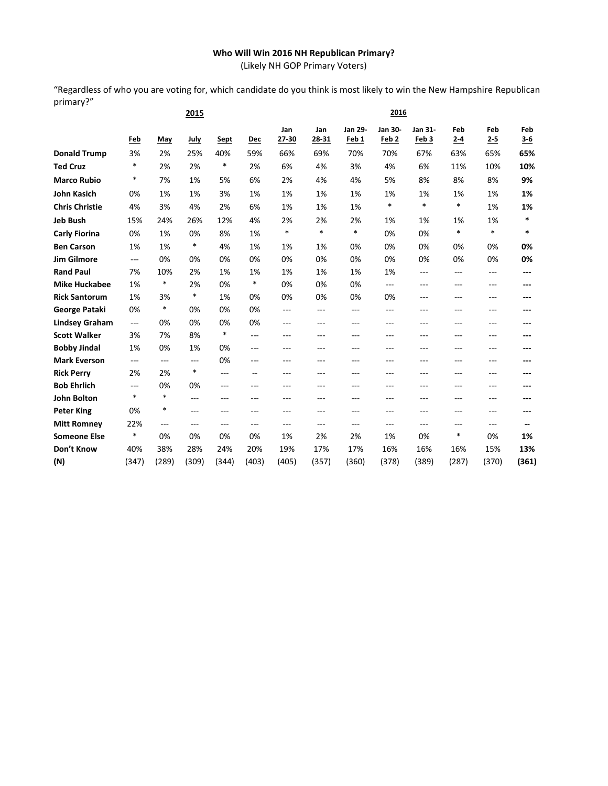# **Who Will Win 2016 NH Republican Primary?**

(Likely NH GOP Primary Voters)

"Regardless of who you are voting for, which candidate do you think is most likely to win the New Hampshire Republican primary?"

|                       |        |        | 2015   |        |        |              |              |                             |                             | 2016             |                |                |              |  |
|-----------------------|--------|--------|--------|--------|--------|--------------|--------------|-----------------------------|-----------------------------|------------------|----------------|----------------|--------------|--|
|                       | Feb    | May    | July   | Sept   | Dec    | Jan<br>27-30 | Jan<br>28-31 | Jan 29-<br>Feb <sub>1</sub> | Jan 30-<br>Feb <sub>2</sub> | Jan 31-<br>Feb 3 | Feb<br>$2 - 4$ | Feb<br>$2 - 5$ | Feb<br>$3-6$ |  |
| <b>Donald Trump</b>   | 3%     | 2%     | 25%    | 40%    | 59%    | 66%          | 69%          | 70%                         | 70%                         | 67%              | 63%            | 65%            | 65%          |  |
| <b>Ted Cruz</b>       | $\ast$ | 2%     | 2%     | $\ast$ | 2%     | 6%           | 4%           | 3%                          | 4%                          | 6%               | 11%            | 10%            | 10%          |  |
| <b>Marco Rubio</b>    | *      | 7%     | 1%     | 5%     | 6%     | 2%           | 4%           | 4%                          | 5%                          | 8%               | 8%             | 8%             | 9%           |  |
| <b>John Kasich</b>    | 0%     | 1%     | 1%     | 3%     | 1%     | 1%           | 1%           | 1%                          | 1%                          | 1%               | 1%             | 1%             | 1%           |  |
| <b>Chris Christie</b> | 4%     | 3%     | 4%     | 2%     | 6%     | 1%           | 1%           | 1%                          | *                           | $\ast$           | $\ast$         | 1%             | 1%           |  |
| <b>Jeb Bush</b>       | 15%    | 24%    | 26%    | 12%    | 4%     | 2%           | 2%           | 2%                          | 1%                          | 1%               | 1%             | 1%             | $\ast$       |  |
| <b>Carly Fiorina</b>  | 0%     | 1%     | 0%     | 8%     | 1%     | $\ast$       | $\ast$       | $\ast$                      | 0%                          | 0%               | $\ast$         | $\ast$         | $\ast$       |  |
| <b>Ben Carson</b>     | 1%     | 1%     | $\ast$ | 4%     | 1%     | 1%           | 1%           | 0%                          | 0%                          | 0%               | 0%             | 0%             | 0%           |  |
| <b>Jim Gilmore</b>    | ---    | 0%     | 0%     | 0%     | 0%     | 0%           | 0%           | 0%                          | 0%                          | 0%               | 0%             | 0%             | 0%           |  |
| <b>Rand Paul</b>      | 7%     | 10%    | 2%     | 1%     | 1%     | 1%           | 1%           | 1%                          | 1%                          | ---              | ---            | ---            | ---          |  |
| <b>Mike Huckabee</b>  | 1%     | $\ast$ | 2%     | 0%     | $\ast$ | 0%           | 0%           | 0%                          | $---$                       | $---$            | ---            | $---$          | ---          |  |
| <b>Rick Santorum</b>  | 1%     | 3%     | $\ast$ | 1%     | 0%     | 0%           | 0%           | 0%                          | 0%                          | ---              | ---            |                | ---          |  |
| <b>George Pataki</b>  | 0%     | $\ast$ | 0%     | 0%     | 0%     | $---$        | $---$        | $---$                       | ---                         | ---              | ---            | ---            | ---          |  |
| <b>Lindsey Graham</b> | ---    | 0%     | 0%     | 0%     | 0%     | $---$        | $---$        | $---$                       | ---                         | ---              | ---            | $---$          | ---          |  |
| <b>Scott Walker</b>   | 3%     | 7%     | 8%     | $\ast$ | ---    | ---          | ---          | ---                         | ---                         | ---              | ---            | ---            |              |  |
| <b>Bobby Jindal</b>   | 1%     | 0%     | 1%     | 0%     | ---    | ---          | ---          | ---                         | ---                         | ---              | ---            | ---            | ---          |  |
| <b>Mark Everson</b>   | ---    | $---$  | ---    | 0%     | ---    | ---          | ---          | ---                         | ---                         | ---              | ---            | ---            | ---          |  |
| <b>Rick Perry</b>     | 2%     | 2%     | $\ast$ | ---    | $-$    | ---          | $---$        | $---$                       | ---                         | ---              | ---            | $---$          |              |  |
| <b>Bob Ehrlich</b>    | ---    | 0%     | 0%     | ---    | ---    | ---          | ---          | ---                         | ---                         | ---              | ---            | ---            |              |  |
| <b>John Bolton</b>    | $\ast$ | $\ast$ | $---$  | ---    | ---    | ---          | $-$ - $-$    | $-$ --                      | ---                         | ---              | ---            | $- - -$        | ---          |  |
| <b>Peter King</b>     | 0%     | $\ast$ | ---    | ---    | ---    | ---          | ---          | $---$                       | ---                         | ---              | ---            | ---            | ---          |  |
| <b>Mitt Romney</b>    | 22%    | $---$  | ---    | ---    | ---    | $---$        | $---$        | ---                         | ---                         | ---              | ---            | ---            |              |  |
| <b>Someone Else</b>   | $\ast$ | 0%     | 0%     | 0%     | 0%     | 1%           | 2%           | 2%                          | 1%                          | 0%               | $\ast$         | 0%             | 1%           |  |
| Don't Know            | 40%    | 38%    | 28%    | 24%    | 20%    | 19%          | 17%          | 17%                         | 16%                         | 16%              | 16%            | 15%            | 13%          |  |
| (N)                   | (347)  | (289)  | (309)  | (344)  | (403)  | (405)        | (357)        | (360)                       | (378)                       | (389)            | (287)          | (370)          | (361)        |  |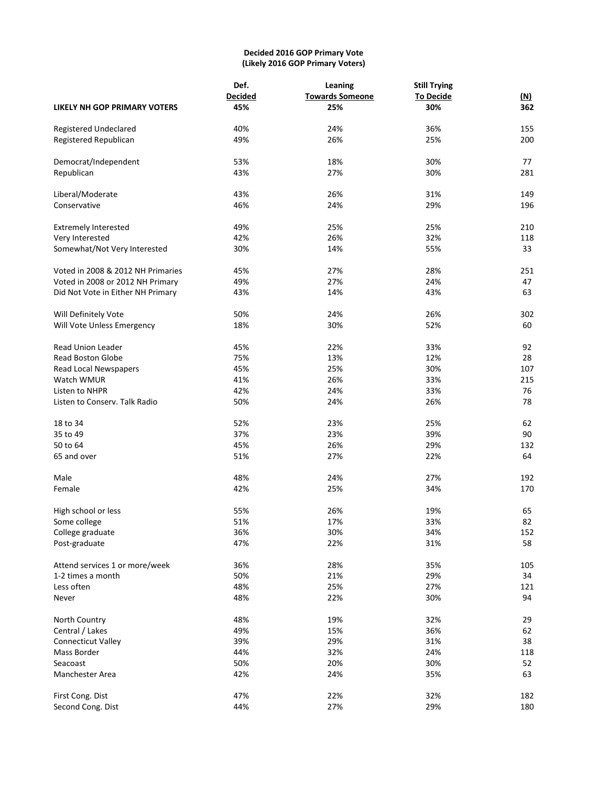# **Decided 2016 GOP Primary Vote (Likely 2016 GOP Primary Voters)**

|                                                     | Def.<br><b>Decided</b> | Leaning<br><b>Towards Someone</b> | <b>Still Trying</b><br><b>To Decide</b> | <u>(N)</u> |
|-----------------------------------------------------|------------------------|-----------------------------------|-----------------------------------------|------------|
| <b>LIKELY NH GOP PRIMARY VOTERS</b>                 | 45%                    | 25%                               | 30%                                     | 362        |
| Registered Undeclared                               | 40%                    | 24%                               | 36%                                     | 155        |
| Registered Republican                               | 49%                    | 26%                               | 25%                                     | 200        |
|                                                     |                        |                                   |                                         |            |
| Democrat/Independent                                | 53%                    | 18%                               | 30%                                     | 77         |
| Republican                                          | 43%                    | 27%                               | 30%                                     | 281        |
| Liberal/Moderate                                    | 43%                    | 26%                               | 31%                                     | 149        |
| Conservative                                        | 46%                    | 24%                               | 29%                                     | 196        |
| <b>Extremely Interested</b>                         | 49%                    | 25%                               | 25%                                     | 210        |
| Very Interested                                     | 42%                    | 26%                               | 32%                                     | 118        |
| Somewhat/Not Very Interested                        | 30%                    | 14%                               | 55%                                     | 33         |
|                                                     |                        |                                   |                                         |            |
| Voted in 2008 & 2012 NH Primaries                   | 45%                    | 27%                               | 28%                                     | 251        |
| Voted in 2008 or 2012 NH Primary                    | 49%                    | 27%                               | 24%                                     | 47         |
| Did Not Vote in Either NH Primary                   | 43%                    | 14%                               | 43%                                     | 63         |
| Will Definitely Vote                                | 50%                    | 24%                               | 26%                                     | 302        |
| Will Vote Unless Emergency                          | 18%                    | 30%                               | 52%                                     | 60         |
|                                                     |                        |                                   |                                         |            |
| <b>Read Union Leader</b>                            | 45%                    | 22%                               | 33%                                     | 92         |
| <b>Read Boston Globe</b>                            | 75%                    | 13%                               | 12%                                     | 28         |
| Read Local Newspapers                               | 45%                    | 25%                               | 30%                                     | 107        |
| Watch WMUR                                          | 41%                    | 26%                               | 33%                                     | 215        |
| Listen to NHPR                                      | 42%                    | 24%                               | 33%                                     | 76         |
| Listen to Conserv. Talk Radio                       | 50%                    | 24%                               | 26%                                     | 78         |
| 18 to 34                                            | 52%                    | 23%                               | 25%                                     | 62         |
| 35 to 49                                            |                        |                                   |                                         |            |
| 50 to 64                                            | 37%                    | 23%                               | 39%                                     | 90         |
|                                                     | 45%                    | 26%                               | 29%                                     | 132        |
| 65 and over                                         | 51%                    | 27%                               | 22%                                     | 64         |
| Male                                                | 48%                    | 24%                               | 27%                                     | 192        |
| Female                                              | 42%                    | 25%                               | 34%                                     | 170        |
| High school or less                                 | 55%                    | 26%                               | 19%                                     | 65         |
| Some college                                        | 51%                    | 17%                               | 33%                                     | 82         |
| College graduate                                    | 36%                    | 30%                               | 34%                                     | 152        |
| Post-graduate                                       | 47%                    | 22%                               | 31%                                     | 58         |
|                                                     |                        |                                   |                                         |            |
| Attend services 1 or more/week<br>1-2 times a month | 36%                    | 28%                               | 35%                                     | 105<br>34  |
| Less often                                          | 50%                    | 21%                               | 29%                                     |            |
|                                                     | 48%                    | 25%                               | 27%                                     | 121<br>94  |
| Never                                               | 48%                    | 22%                               | 30%                                     |            |
| North Country                                       | 48%                    | 19%                               | 32%                                     | 29         |
| Central / Lakes                                     | 49%                    | 15%                               | 36%                                     | 62         |
| <b>Connecticut Valley</b>                           | 39%                    | 29%                               | 31%                                     | 38         |
| Mass Border                                         | 44%                    | 32%                               | 24%                                     | 118        |
| Seacoast                                            | 50%                    | 20%                               | 30%                                     | 52         |
| Manchester Area                                     | 42%                    | 24%                               | 35%                                     | 63         |
|                                                     | 47%                    | 22%                               | 32%                                     |            |
| First Cong. Dist<br>Second Cong. Dist               | 44%                    | 27%                               | 29%                                     | 182<br>180 |
|                                                     |                        |                                   |                                         |            |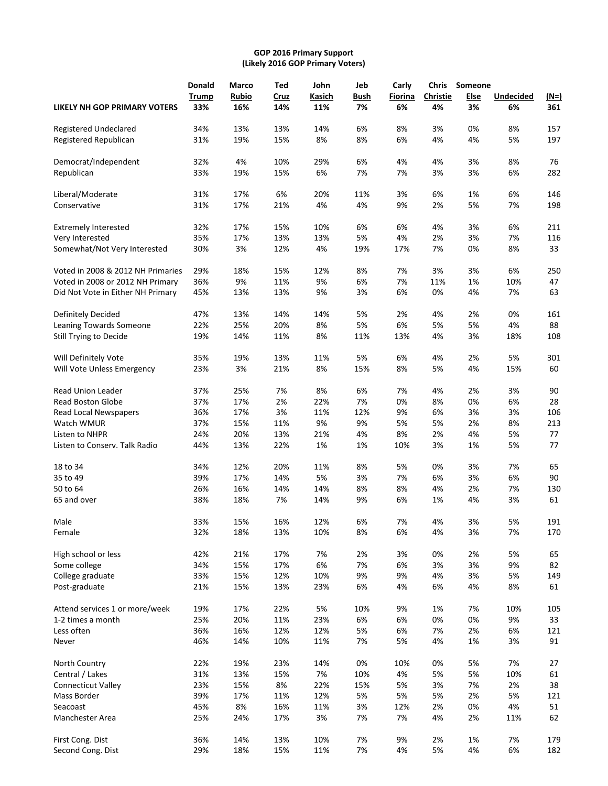# **GOP 2016 Primary Support (Likely 2016 GOP Primary Voters)**

|                                   | Donald       | Marco        | Ted  | John   | Jeb         | Carly   | <b>Chris</b>    | Someone |                  |             |
|-----------------------------------|--------------|--------------|------|--------|-------------|---------|-----------------|---------|------------------|-------------|
|                                   | <b>Trump</b> | <b>Rubio</b> | Cruz | Kasich | <b>Bush</b> | Fiorina | <b>Christie</b> | Else    | <b>Undecided</b> | <u>(N=)</u> |
| LIKELY NH GOP PRIMARY VOTERS      | 33%          | 16%          | 14%  | 11%    | 7%          | 6%      | 4%              | 3%      | 6%               | 361         |
| Registered Undeclared             | 34%          | 13%          | 13%  | 14%    | 6%          | 8%      | 3%              | 0%      | 8%               | 157         |
| Registered Republican             | 31%          | 19%          | 15%  | 8%     | 8%          | 6%      | 4%              | 4%      | 5%               | 197         |
| Democrat/Independent              | 32%          | 4%           | 10%  | 29%    | 6%          | 4%      | 4%              | 3%      | 8%               | 76          |
| Republican                        | 33%          | 19%          | 15%  | 6%     | 7%          | 7%      | 3%              | 3%      | 6%               | 282         |
| Liberal/Moderate                  | 31%          | 17%          | 6%   | 20%    | 11%         | 3%      | 6%              | 1%      | 6%               | 146         |
| Conservative                      | 31%          | 17%          | 21%  | 4%     | 4%          | 9%      | 2%              | 5%      | 7%               | 198         |
| <b>Extremely Interested</b>       | 32%          | 17%          | 15%  | 10%    | 6%          | 6%      | 4%              | 3%      | 6%               | 211         |
| Very Interested                   | 35%          | 17%          | 13%  | 13%    | 5%          | 4%      | 2%              | 3%      | 7%               | 116         |
| Somewhat/Not Very Interested      | 30%          | 3%           | 12%  | 4%     | 19%         | 17%     | 7%              | 0%      | 8%               | 33          |
| Voted in 2008 & 2012 NH Primaries | 29%          | 18%          | 15%  | 12%    | 8%          | 7%      | 3%              | 3%      | 6%               | 250         |
| Voted in 2008 or 2012 NH Primary  | 36%          | 9%           | 11%  | 9%     | 6%          | 7%      | 11%             | 1%      | 10%              | 47          |
| Did Not Vote in Either NH Primary | 45%          | 13%          | 13%  | 9%     | 3%          | 6%      | 0%              | 4%      | 7%               | 63          |
| Definitely Decided                | 47%          | 13%          | 14%  | 14%    | 5%          | 2%      | 4%              | 2%      | 0%               | 161         |
| Leaning Towards Someone           | 22%          | 25%          | 20%  | 8%     | 5%          | 6%      | 5%              | 5%      | 4%               | 88          |
| Still Trying to Decide            | 19%          | 14%          | 11%  | 8%     | 11%         | 13%     | 4%              | 3%      | 18%              | 108         |
| Will Definitely Vote              | 35%          | 19%          | 13%  | 11%    | 5%          | 6%      | 4%              | 2%      | 5%               | 301         |
| Will Vote Unless Emergency        | 23%          | 3%           | 21%  | 8%     | 15%         | 8%      | 5%              | 4%      | 15%              | 60          |
| <b>Read Union Leader</b>          | 37%          | 25%          | 7%   | 8%     | 6%          | 7%      | 4%              | 2%      | 3%               | 90          |
| <b>Read Boston Globe</b>          | 37%          | 17%          | 2%   | 22%    | 7%          | 0%      | 8%              | 0%      | 6%               | 28          |
| Read Local Newspapers             | 36%          | 17%          | 3%   | 11%    | 12%         | 9%      | 6%              | 3%      | 3%               | 106         |
| Watch WMUR                        | 37%          | 15%          | 11%  | 9%     | 9%          | 5%      | 5%              | 2%      | 8%               | 213         |
| Listen to NHPR                    | 24%          | 20%          | 13%  | 21%    | 4%          | 8%      | 2%              | 4%      | 5%               | 77          |
| Listen to Conserv. Talk Radio     | 44%          | 13%          | 22%  | 1%     | 1%          | 10%     | 3%              | 1%      | 5%               | 77          |
| 18 to 34                          | 34%          | 12%          | 20%  | 11%    | 8%          | 5%      | 0%              | 3%      | 7%               | 65          |
| 35 to 49                          | 39%          | 17%          | 14%  | 5%     | 3%          | 7%      | 6%              | 3%      | 6%               | 90          |
| 50 to 64                          | 26%          | 16%          | 14%  | 14%    | 8%          | 8%      | 4%              | 2%      | 7%               | 130         |
| 65 and over                       | 38%          | 18%          | 7%   | 14%    | 9%          | 6%      | 1%              | 4%      | 3%               | 61          |
| Male                              | 33%          | 15%          | 16%  | 12%    | 6%          | 7%      | 4%              | 3%      | 5%               | 191         |
| Female                            | 32%          | 18%          | 13%  | 10%    | 8%          | 6%      | 4%              | 3%      | 7%               | 170         |
| High school or less               | 42%          | 21%          | 17%  | 7%     | 2%          | 3%      | 0%              | 2%      | 5%               | 65          |
| Some college                      | 34%          | 15%          | 17%  | 6%     | 7%          | 6%      | 3%              | 3%      | 9%               | 82          |
| College graduate                  | 33%          | 15%          | 12%  | 10%    | 9%          | 9%      | 4%              | 3%      | 5%               | 149         |
| Post-graduate                     | 21%          | 15%          | 13%  | 23%    | 6%          | 4%      | 6%              | 4%      | 8%               | 61          |
| Attend services 1 or more/week    | 19%          | 17%          | 22%  | 5%     | 10%         | 9%      | 1%              | 7%      | 10%              | 105         |
| 1-2 times a month                 | 25%          | 20%          | 11%  | 23%    | 6%          | 6%      | 0%              | 0%      | 9%               | 33          |
| Less often                        | 36%          | 16%          | 12%  | 12%    | 5%          | 6%      | 7%              | 2%      | 6%               | 121         |
| Never                             | 46%          | 14%          | 10%  | 11%    | 7%          | 5%      | 4%              | 1%      | 3%               | 91          |
| North Country                     | 22%          | 19%          | 23%  | 14%    | 0%          | 10%     | 0%              | 5%      | 7%               | 27          |
| Central / Lakes                   | 31%          | 13%          | 15%  | 7%     | 10%         | 4%      | 5%              | 5%      | 10%              | 61          |
| <b>Connecticut Valley</b>         | 23%          | 15%          | 8%   | 22%    | 15%         | 5%      | 3%              | 7%      | 2%               | 38          |
| Mass Border                       | 39%          | 17%          | 11%  | 12%    | 5%          | 5%      | 5%              | 2%      | 5%               | 121         |
| Seacoast                          | 45%          | 8%           | 16%  | 11%    | 3%          | 12%     | 2%              | 0%      | 4%               | 51          |
| Manchester Area                   | 25%          | 24%          | 17%  | 3%     | 7%          | 7%      | 4%              | 2%      | 11%              | 62          |
| First Cong. Dist                  | 36%          | 14%          | 13%  | 10%    | 7%          | 9%      | 2%              | 1%      | 7%               | 179         |
| Second Cong. Dist                 | 29%          | 18%          | 15%  | 11%    | 7%          | 4%      | 5%              | 4%      | 6%               | 182         |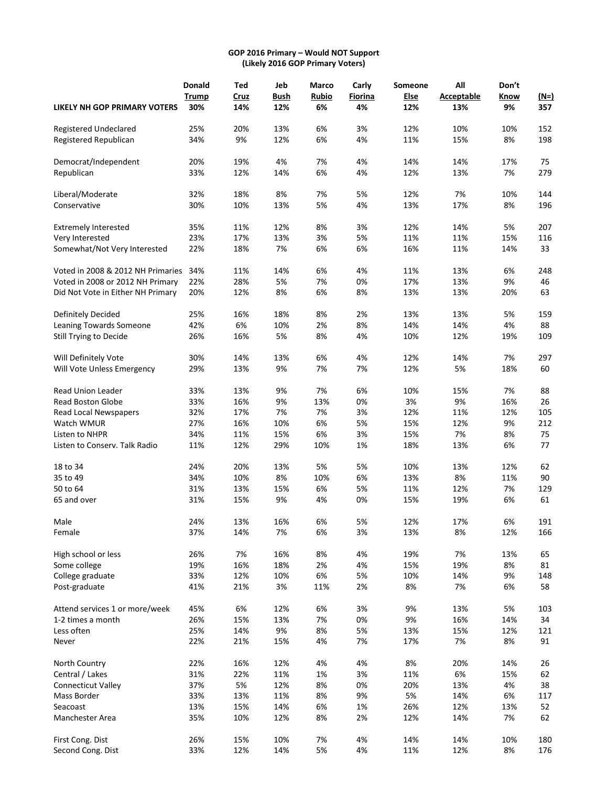#### **GOP 2016 Primary – Would NOT Support (Likely 2016 GOP Primary Voters)**

|                                   | Donald       | Ted  | Jeb         | Marco        | Carly   | Someone     | All               | Don't |             |
|-----------------------------------|--------------|------|-------------|--------------|---------|-------------|-------------------|-------|-------------|
|                                   | <b>Trump</b> | Cruz | <b>Bush</b> | <b>Rubio</b> | Fiorina | <u>Else</u> | <b>Acceptable</b> | Know  | <u>(N=)</u> |
| LIKELY NH GOP PRIMARY VOTERS      | 30%          | 14%  | 12%         | 6%           | 4%      | 12%         | 13%               | 9%    | 357         |
| Registered Undeclared             | 25%          | 20%  | 13%         | 6%           | 3%      | 12%         | 10%               | 10%   | 152         |
| Registered Republican             | 34%          | 9%   | 12%         | 6%           | 4%      | 11%         | 15%               | 8%    | 198         |
| Democrat/Independent              | 20%          | 19%  | 4%          | 7%           | 4%      | 14%         | 14%               | 17%   | 75          |
| Republican                        | 33%          | 12%  | 14%         | 6%           | 4%      | 12%         | 13%               | 7%    | 279         |
| Liberal/Moderate                  | 32%          | 18%  | 8%          | 7%           | 5%      | 12%         | 7%                | 10%   | 144         |
| Conservative                      | 30%          | 10%  | 13%         | 5%           | 4%      | 13%         | 17%               | 8%    | 196         |
| <b>Extremely Interested</b>       | 35%          | 11%  | 12%         | 8%           | 3%      | 12%         | 14%               | 5%    | 207         |
| Very Interested                   | 23%          | 17%  | 13%         | 3%           | 5%      | 11%         | 11%               | 15%   | 116         |
| Somewhat/Not Very Interested      | 22%          | 18%  | 7%          | 6%           | 6%      | 16%         | 11%               | 14%   | 33          |
| Voted in 2008 & 2012 NH Primaries | 34%          | 11%  | 14%         | 6%           | 4%      | 11%         | 13%               | 6%    | 248         |
| Voted in 2008 or 2012 NH Primary  | 22%          | 28%  | 5%          | 7%           | 0%      | 17%         | 13%               | 9%    | 46          |
| Did Not Vote in Either NH Primary | 20%          | 12%  | 8%          | 6%           | 8%      | 13%         | 13%               | 20%   | 63          |
| Definitely Decided                | 25%          | 16%  | 18%         | 8%           | 2%      | 13%         | 13%               | 5%    | 159         |
| Leaning Towards Someone           | 42%          | 6%   | 10%         | 2%           | 8%      | 14%         | 14%               | 4%    | 88          |
| Still Trying to Decide            | 26%          | 16%  | 5%          | 8%           | 4%      | 10%         | 12%               | 19%   | 109         |
| Will Definitely Vote              | 30%          | 14%  | 13%         | 6%           | 4%      | 12%         | 14%               | 7%    | 297         |
| Will Vote Unless Emergency        | 29%          | 13%  | 9%          | 7%           | 7%      | 12%         | 5%                | 18%   | 60          |
| Read Union Leader                 | 33%          | 13%  | 9%          | 7%           | 6%      | 10%         | 15%               | 7%    | 88          |
| <b>Read Boston Globe</b>          | 33%          | 16%  | 9%          | 13%          | 0%      | 3%          | 9%                | 16%   | 26          |
| Read Local Newspapers             | 32%          | 17%  | 7%          | 7%           | 3%      | 12%         | 11%               | 12%   | 105         |
| Watch WMUR                        | 27%          | 16%  | 10%         | 6%           | 5%      | 15%         | 12%               | 9%    | 212         |
| Listen to NHPR                    | 34%          | 11%  | 15%         | 6%           | 3%      | 15%         | 7%                | 8%    | 75          |
| Listen to Conserv. Talk Radio     | 11%          | 12%  | 29%         | 10%          | 1%      | 18%         | 13%               | 6%    | 77          |
| 18 to 34                          | 24%          | 20%  | 13%         | 5%           | 5%      | 10%         | 13%               | 12%   | 62          |
| 35 to 49                          | 34%          | 10%  | 8%          | 10%          | 6%      | 13%         | 8%                | 11%   | 90          |
| 50 to 64                          | 31%          | 13%  | 15%         | 6%           | 5%      | 11%         | 12%               | 7%    | 129         |
| 65 and over                       | 31%          | 15%  | 9%          | 4%           | 0%      | 15%         | 19%               | 6%    | 61          |
| Male                              | 24%          | 13%  | 16%         | 6%           | 5%      | 12%         | 17%               | 6%    | 191         |
| Female                            | 37%          | 14%  | 7%          | 6%           | 3%      | 13%         | 8%                | 12%   | 166         |
| High school or less               | 26%          | 7%   | 16%         | 8%           | 4%      | 19%         | 7%                | 13%   | 65          |
| Some college                      | 19%          | 16%  | 18%         | $2\%$        | 4%      | 15%         | 19%               | 8%    | 81          |
| College graduate                  | 33%          | 12%  | 10%         | 6%           | 5%      | 10%         | 14%               | 9%    | 148         |
| Post-graduate                     | 41%          | 21%  | 3%          | 11%          | 2%      | 8%          | 7%                | 6%    | 58          |
| Attend services 1 or more/week    | 45%          | 6%   | 12%         | 6%           | 3%      | 9%          | 13%               | 5%    | 103         |
| 1-2 times a month                 | 26%          | 15%  | 13%         | 7%           | 0%      | 9%          | 16%               | 14%   | 34          |
| Less often                        | 25%          | 14%  | 9%          | 8%           | 5%      | 13%         | 15%               | 12%   | 121         |
| Never                             | 22%          | 21%  | 15%         | 4%           | 7%      | 17%         | 7%                | 8%    | 91          |
| North Country                     | 22%          | 16%  | 12%         | 4%           | 4%      | 8%          | 20%               | 14%   | 26          |
| Central / Lakes                   | 31%          | 22%  | 11%         | 1%           | 3%      | 11%         | 6%                | 15%   | 62          |
| <b>Connecticut Valley</b>         | 37%          | 5%   | 12%         | 8%           | 0%      | 20%         | 13%               | 4%    | 38          |
| Mass Border                       | 33%          | 13%  | 11%         | 8%           | 9%      | 5%          | 14%               | 6%    | 117         |
| Seacoast                          | 13%          | 15%  | 14%         | 6%           | 1%      | 26%         | 12%               | 13%   | 52          |
| Manchester Area                   | 35%          | 10%  | 12%         | 8%           | 2%      | 12%         | 14%               | 7%    | 62          |
| First Cong. Dist                  | 26%          | 15%  | 10%         | 7%           | 4%      | 14%         | 14%               | 10%   | 180         |
| Second Cong. Dist                 | 33%          | 12%  | 14%         | 5%           | 4%      | 11%         | 12%               | 8%    | 176         |